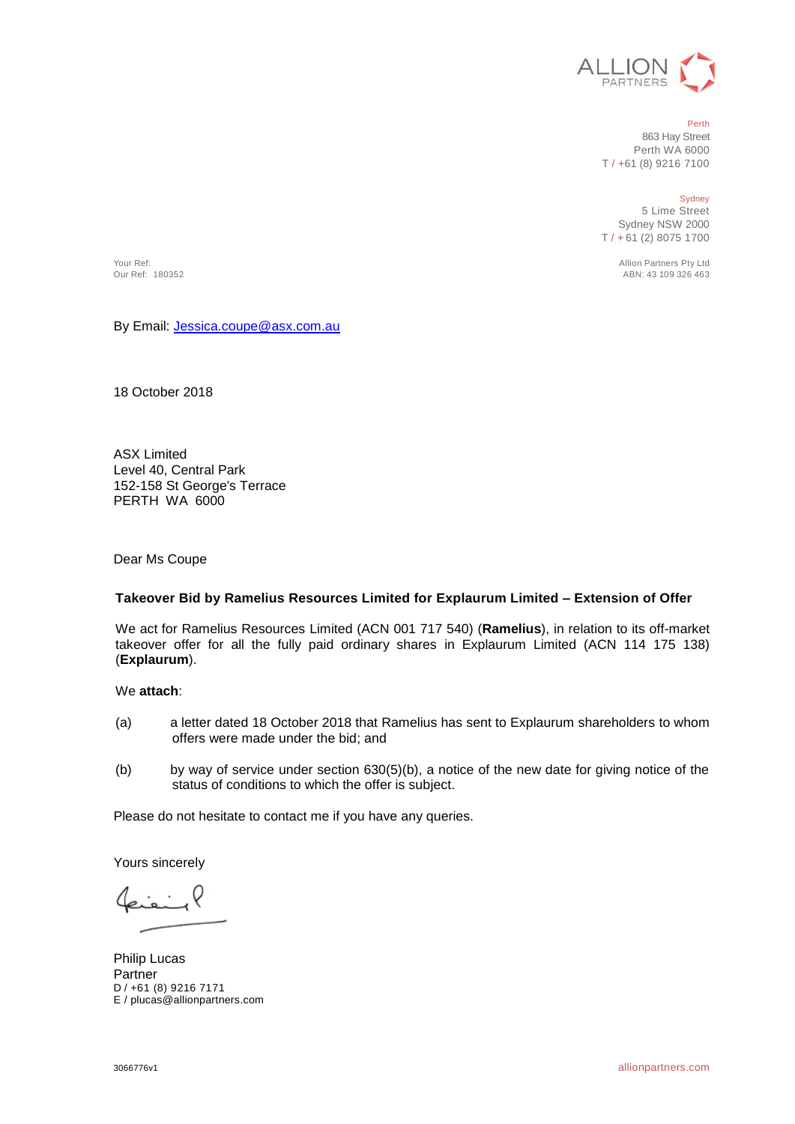

#### Perth

863 Hay Street Perth WA 6000 T / +61 (8) 9216 7100

Sydney

5 Lime Street Sydney NSW 2000 T / + 61 (2) 8075 1700

Your Ref: Allion Partners Pty Ltd ABN: 43 109 326 463

By Email[: Jessica.coupe@asx.com.au](mailto:Jessica.coupe@asx.com.au)

18 October 2018

ASX Limited Level 40, Central Park 152-158 St George's Terrace PERTH WA 6000

Dear Ms Coupe

#### **Takeover Bid by Ramelius Resources Limited for Explaurum Limited – Extension of Offer**

We act for Ramelius Resources Limited (ACN 001 717 540) (**Ramelius**), in relation to its off-market takeover offer for all the fully paid ordinary shares in Explaurum Limited (ACN 114 175 138) (**Explaurum**).

#### We **attach**:

- (a) a letter dated 18 October 2018 that Ramelius has sent to Explaurum shareholders to whom offers were made under the bid; and
- (b) by way of service under section 630(5)(b), a notice of the new date for giving notice of the status of conditions to which the offer is subject.

Please do not hesitate to contact me if you have any queries.

Yours sincerely

Philip Lucas Partner D / +61 (8) 9216 7171 E / plucas@allionpartners.com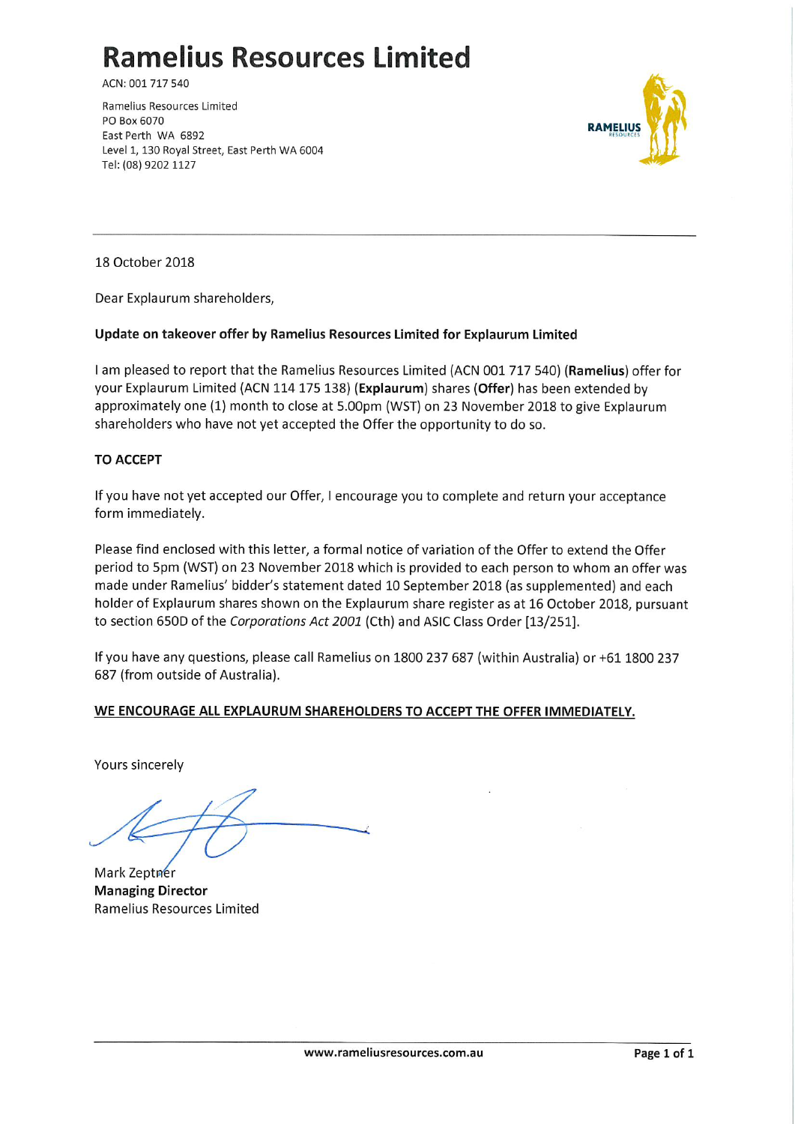# **Ramelius Resources Limited**

ACN: 001 717 540

Ramelius Resources Limited PO Box 6070 East Perth WA 6892 Level 1, 130 Royal Street, East Perth WA 6004 Tel: (08) 9202 1127



18 October 2018

Dear Explaurum shareholders,

## Update on takeover offer by Ramelius Resources Limited for Explaurum Limited

I am pleased to report that the Ramelius Resources Limited (ACN 001 717 540) (Ramelius) offer for your Explaurum Limited (ACN 114 175 138) (Explaurum) shares (Offer) has been extended by approximately one (1) month to close at 5.00pm (WST) on 23 November 2018 to give Explaurum shareholders who have not yet accepted the Offer the opportunity to do so.

## **TO ACCEPT**

If you have not yet accepted our Offer, I encourage you to complete and return your acceptance form immediately.

Please find enclosed with this letter, a formal notice of variation of the Offer to extend the Offer period to 5pm (WST) on 23 November 2018 which is provided to each person to whom an offer was made under Ramelius' bidder's statement dated 10 September 2018 (as supplemented) and each holder of Explaurum shares shown on the Explaurum share register as at 16 October 2018, pursuant to section 650D of the Corporations Act 2001 (Cth) and ASIC Class Order [13/251].

If you have any questions, please call Ramelius on 1800 237 687 (within Australia) or +61 1800 237 687 (from outside of Australia).

#### WE ENCOURAGE ALL EXPLAURUM SHAREHOLDERS TO ACCEPT THE OFFER IMMEDIATELY.

Yours sincerely

Mark Zeptner **Managing Director** Ramelius Resources Limited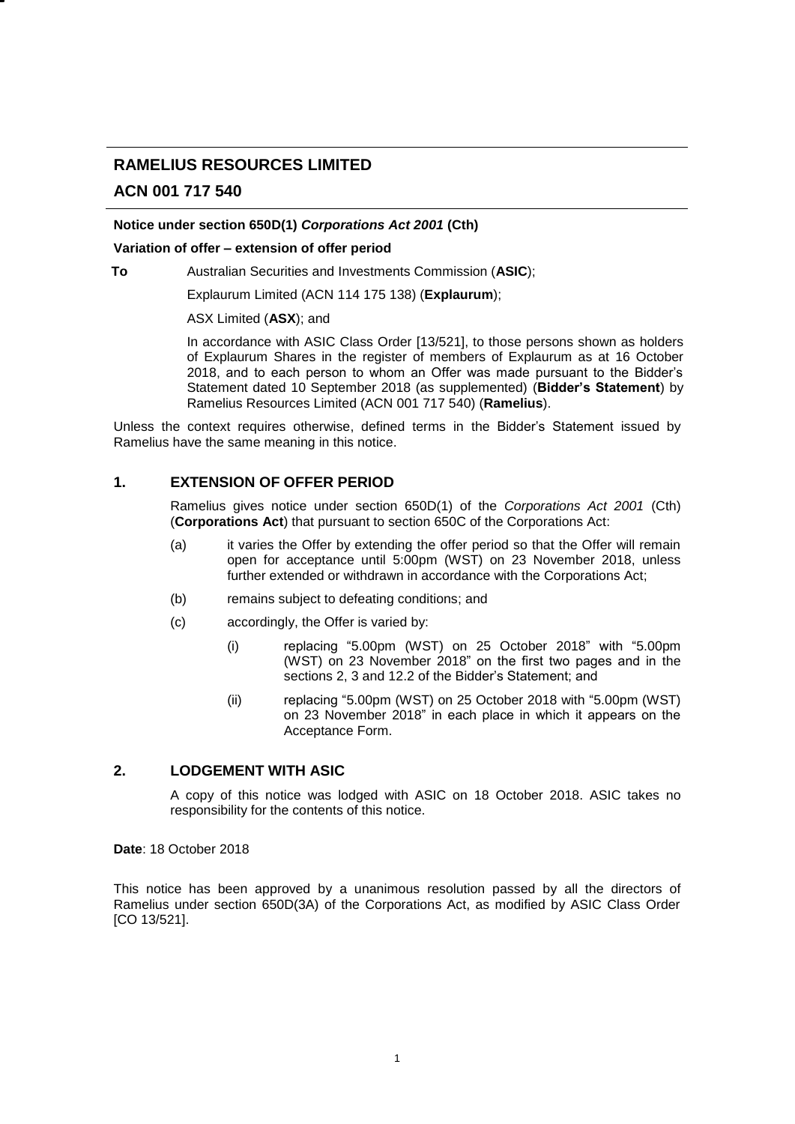## **RAMELIUS RESOURCES LIMITED**

## **ACN 001 717 540**

#### **Notice under section 650D(1)** *Corporations Act 2001* **(Cth)**

#### **Variation of offer – extension of offer period**

**To** Australian Securities and Investments Commission (**ASIC**);

Explaurum Limited (ACN 114 175 138) (**Explaurum**);

ASX Limited (**ASX**); and

In accordance with ASIC Class Order [13/521], to those persons shown as holders of Explaurum Shares in the register of members of Explaurum as at 16 October 2018, and to each person to whom an Offer was made pursuant to the Bidder's Statement dated 10 September 2018 (as supplemented) (**Bidder's Statement**) by Ramelius Resources Limited (ACN 001 717 540) (**Ramelius**).

Unless the context requires otherwise, defined terms in the Bidder's Statement issued by Ramelius have the same meaning in this notice.

#### **1. EXTENSION OF OFFER PERIOD**

Ramelius gives notice under section 650D(1) of the *Corporations Act 2001* (Cth) (**Corporations Act**) that pursuant to section 650C of the Corporations Act:

- (a) it varies the Offer by extending the offer period so that the Offer will remain open for acceptance until 5:00pm (WST) on 23 November 2018, unless further extended or withdrawn in accordance with the Corporations Act;
- (b) remains subject to defeating conditions; and
- (c) accordingly, the Offer is varied by:
	- (i) replacing "5.00pm (WST) on 25 October 2018" with "5.00pm (WST) on 23 November 2018" on the first two pages and in the sections 2, 3 and 12.2 of the Bidder's Statement; and
	- (ii) replacing "5.00pm (WST) on 25 October 2018 with "5.00pm (WST) on 23 November 2018" in each place in which it appears on the Acceptance Form.

#### **2. LODGEMENT WITH ASIC**

A copy of this notice was lodged with ASIC on 18 October 2018. ASIC takes no responsibility for the contents of this notice.

**Date**: 18 October 2018

This notice has been approved by a unanimous resolution passed by all the directors of Ramelius under section 650D(3A) of the Corporations Act, as modified by ASIC Class Order [CO 13/521].